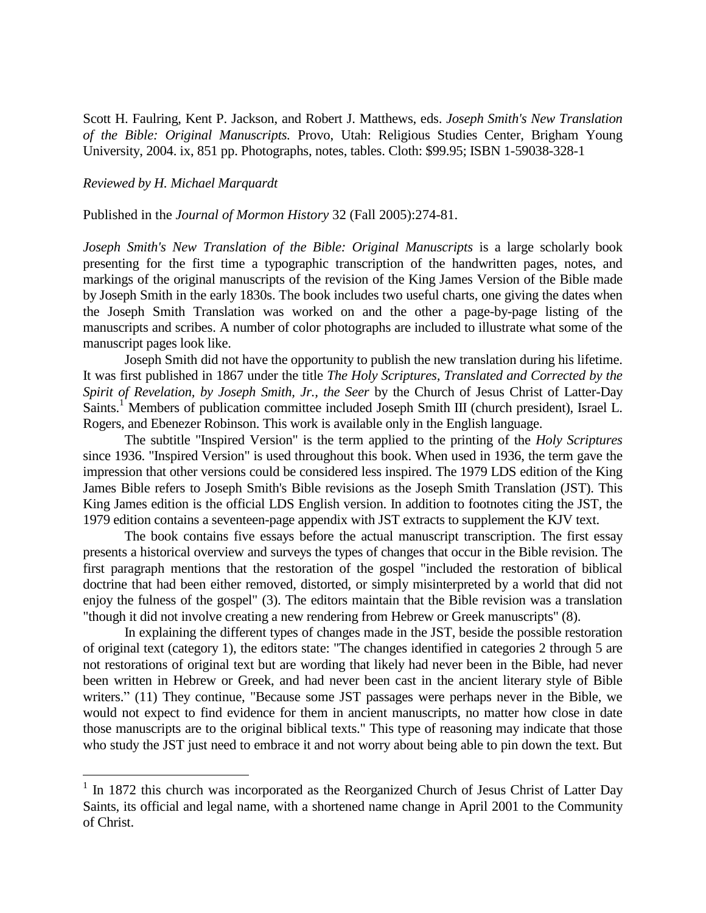Scott H. Faulring, Kent P. Jackson, and Robert J. Matthews, eds. *Joseph Smith's New Translation of the Bible: Original Manuscripts.* Provo, Utah: Religious Studies Center, Brigham Young University, 2004. ix, 851 pp. Photographs, notes, tables. Cloth: \$99.95; ISBN 1-59038-328-1

## *Reviewed by H. Michael Marquardt*

÷.

Published in the *Journal of Mormon History* 32 (Fall 2005):274-81.

*Joseph Smith's New Translation of the Bible: Original Manuscripts* is a large scholarly book presenting for the first time a typographic transcription of the handwritten pages, notes, and markings of the original manuscripts of the revision of the King James Version of the Bible made by Joseph Smith in the early 1830s. The book includes two useful charts, one giving the dates when the Joseph Smith Translation was worked on and the other a page-by-page listing of the manuscripts and scribes. A number of color photographs are included to illustrate what some of the manuscript pages look like.

Joseph Smith did not have the opportunity to publish the new translation during his lifetime. It was first published in 1867 under the title *The Holy Scriptures, Translated and Corrected by the Spirit of Revelation, by Joseph Smith, Jr., the Seer* by the Church of Jesus Christ of Latter-Day Saints.<sup>1</sup> Members of publication committee included Joseph Smith III (church president), Israel L. Rogers, and Ebenezer Robinson. This work is available only in the English language.

The subtitle "Inspired Version" is the term applied to the printing of the *Holy Scriptures* since 1936. "Inspired Version" is used throughout this book. When used in 1936, the term gave the impression that other versions could be considered less inspired. The 1979 LDS edition of the King James Bible refers to Joseph Smith's Bible revisions as the Joseph Smith Translation (JST). This King James edition is the official LDS English version. In addition to footnotes citing the JST, the 1979 edition contains a seventeen-page appendix with JST extracts to supplement the KJV text.

The book contains five essays before the actual manuscript transcription. The first essay presents a historical overview and surveys the types of changes that occur in the Bible revision. The first paragraph mentions that the restoration of the gospel "included the restoration of biblical doctrine that had been either removed, distorted, or simply misinterpreted by a world that did not enjoy the fulness of the gospel" (3). The editors maintain that the Bible revision was a translation "though it did not involve creating a new rendering from Hebrew or Greek manuscripts" (8).

In explaining the different types of changes made in the JST, beside the possible restoration of original text (category 1), the editors state: "The changes identified in categories 2 through 5 are not restorations of original text but are wording that likely had never been in the Bible, had never been written in Hebrew or Greek, and had never been cast in the ancient literary style of Bible writers." (11) They continue, "Because some JST passages were perhaps never in the Bible, we would not expect to find evidence for them in ancient manuscripts, no matter how close in date those manuscripts are to the original biblical texts." This type of reasoning may indicate that those who study the JST just need to embrace it and not worry about being able to pin down the text. But

<sup>&</sup>lt;sup>1</sup> In 1872 this church was incorporated as the Reorganized Church of Jesus Christ of Latter Day Saints, its official and legal name, with a shortened name change in April 2001 to the Community of Christ.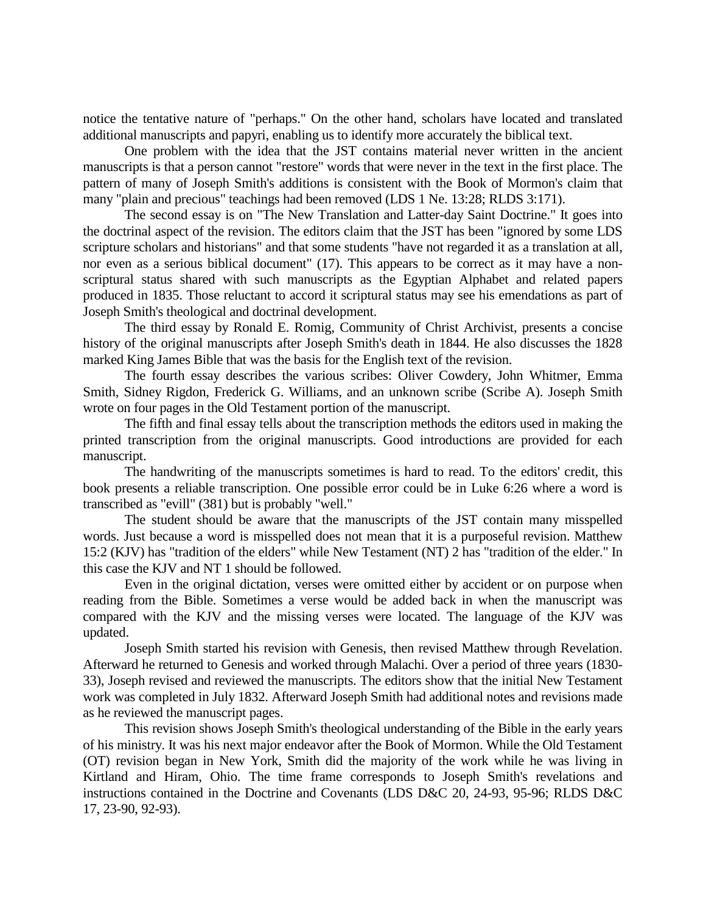notice the tentative nature of "perhaps." On the other hand, scholars have located and translated additional manuscripts and papyri, enabling us to identify more accurately the biblical text.

One problem with the idea that the JST contains material never written in the ancient manuscripts is that a person cannot "restore" words that were never in the text in the first place. The pattern of many of Joseph Smith's additions is consistent with the Book of Mormon's claim that many "plain and precious" teachings had been removed (LDS 1 Ne. 13:28; RLDS 3:171).

The second essay is on "The New Translation and Latter-day Saint Doctrine." It goes into the doctrinal aspect of the revision. The editors claim that the JST has been "ignored by some LDS scripture scholars and historians" and that some students "have not regarded it as a translation at all, nor even as a serious biblical document" (17). This appears to be correct as it may have a nonscriptural status shared with such manuscripts as the Egyptian Alphabet and related papers produced in 1835. Those reluctant to accord it scriptural status may see his emendations as part of Joseph Smith's theological and doctrinal development.

The third essay by Ronald E. Romig, Community of Christ Archivist, presents a concise history of the original manuscripts after Joseph Smith's death in 1844. He also discusses the 1828 marked King James Bible that was the basis for the English text of the revision.

The fourth essay describes the various scribes: Oliver Cowdery, John Whitmer, Emma Smith, Sidney Rigdon, Frederick G. Williams, and an unknown scribe (Scribe A). Joseph Smith wrote on four pages in the Old Testament portion of the manuscript.

The fifth and final essay tells about the transcription methods the editors used in making the printed transcription from the original manuscripts. Good introductions are provided for each manuscript.

The handwriting of the manuscripts sometimes is hard to read. To the editors' credit, this book presents a reliable transcription. One possible error could be in Luke 6:26 where a word is transcribed as "evill" (381) but is probably "well."

The student should be aware that the manuscripts of the JST contain many misspelled words. Just because a word is misspelled does not mean that it is a purposeful revision. Matthew 15:2 (KJV) has "tradition of the elders" while New Testament (NT) 2 has "tradition of the elder." In this case the KJV and NT 1 should be followed.

Even in the original dictation, verses were omitted either by accident or on purpose when reading from the Bible. Sometimes a verse would be added back in when the manuscript was compared with the KJV and the missing verses were located. The language of the KJV was updated.

Joseph Smith started his revision with Genesis, then revised Matthew through Revelation. Afterward he returned to Genesis and worked through Malachi. Over a period of three years (1830- 33), Joseph revised and reviewed the manuscripts. The editors show that the initial New Testament work was completed in July 1832. Afterward Joseph Smith had additional notes and revisions made as he reviewed the manuscript pages.

This revision shows Joseph Smith's theological understanding of the Bible in the early years of his ministry. It was his next major endeavor after the Book of Mormon. While the Old Testament (OT) revision began in New York, Smith did the majority of the work while he was living in Kirtland and Hiram, Ohio. The time frame corresponds to Joseph Smith's revelations and instructions contained in the Doctrine and Covenants (LDS D&C 20, 24-93, 95-96; RLDS D&C 17, 23-90, 92-93).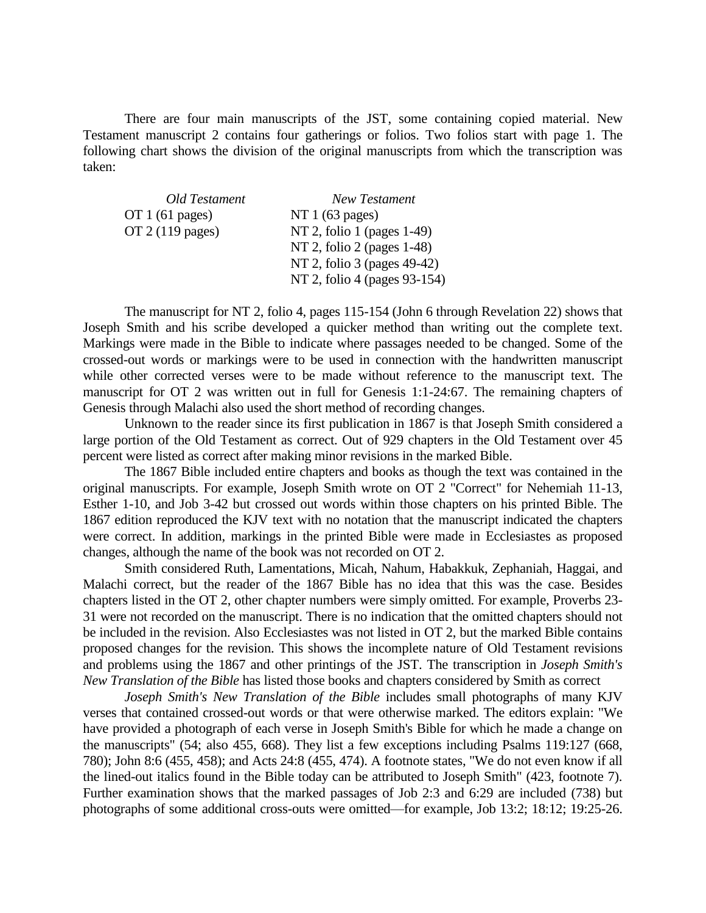There are four main manuscripts of the JST, some containing copied material. New Testament manuscript 2 contains four gatherings or folios. Two folios start with page 1. The following chart shows the division of the original manuscripts from which the transcription was taken:

| Old Testament             | New Testament                |
|---------------------------|------------------------------|
| OT $1(61$ pages)          | NT $1(63$ pages)             |
| OT $2(119 \text{ pages})$ | NT 2, folio 1 (pages 1-49)   |
|                           | NT 2, folio 2 (pages 1-48)   |
|                           | NT 2, folio 3 (pages 49-42)  |
|                           | NT 2, folio 4 (pages 93-154) |

The manuscript for NT 2, folio 4, pages 115-154 (John 6 through Revelation 22) shows that Joseph Smith and his scribe developed a quicker method than writing out the complete text. Markings were made in the Bible to indicate where passages needed to be changed. Some of the crossed-out words or markings were to be used in connection with the handwritten manuscript while other corrected verses were to be made without reference to the manuscript text. The manuscript for OT 2 was written out in full for Genesis 1:1-24:67. The remaining chapters of Genesis through Malachi also used the short method of recording changes.

Unknown to the reader since its first publication in 1867 is that Joseph Smith considered a large portion of the Old Testament as correct. Out of 929 chapters in the Old Testament over 45 percent were listed as correct after making minor revisions in the marked Bible.

The 1867 Bible included entire chapters and books as though the text was contained in the original manuscripts. For example, Joseph Smith wrote on OT 2 "Correct" for Nehemiah 11-13, Esther 1-10, and Job 3-42 but crossed out words within those chapters on his printed Bible. The 1867 edition reproduced the KJV text with no notation that the manuscript indicated the chapters were correct. In addition, markings in the printed Bible were made in Ecclesiastes as proposed changes, although the name of the book was not recorded on OT 2.

Smith considered Ruth, Lamentations, Micah, Nahum, Habakkuk, Zephaniah, Haggai, and Malachi correct, but the reader of the 1867 Bible has no idea that this was the case. Besides chapters listed in the OT 2, other chapter numbers were simply omitted. For example, Proverbs 23- 31 were not recorded on the manuscript. There is no indication that the omitted chapters should not be included in the revision. Also Ecclesiastes was not listed in OT 2, but the marked Bible contains proposed changes for the revision. This shows the incomplete nature of Old Testament revisions and problems using the 1867 and other printings of the JST. The transcription in *Joseph Smith's New Translation of the Bible* has listed those books and chapters considered by Smith as correct

*Joseph Smith's New Translation of the Bible* includes small photographs of many KJV verses that contained crossed-out words or that were otherwise marked. The editors explain: "We have provided a photograph of each verse in Joseph Smith's Bible for which he made a change on the manuscripts" (54; also 455, 668). They list a few exceptions including Psalms 119:127 (668, 780); John 8:6 (455, 458); and Acts 24:8 (455, 474). A footnote states, "We do not even know if all the lined-out italics found in the Bible today can be attributed to Joseph Smith" (423, footnote 7). Further examination shows that the marked passages of Job 2:3 and 6:29 are included (738) but photographs of some additional cross-outs were omitted—for example, Job 13:2; 18:12; 19:25-26.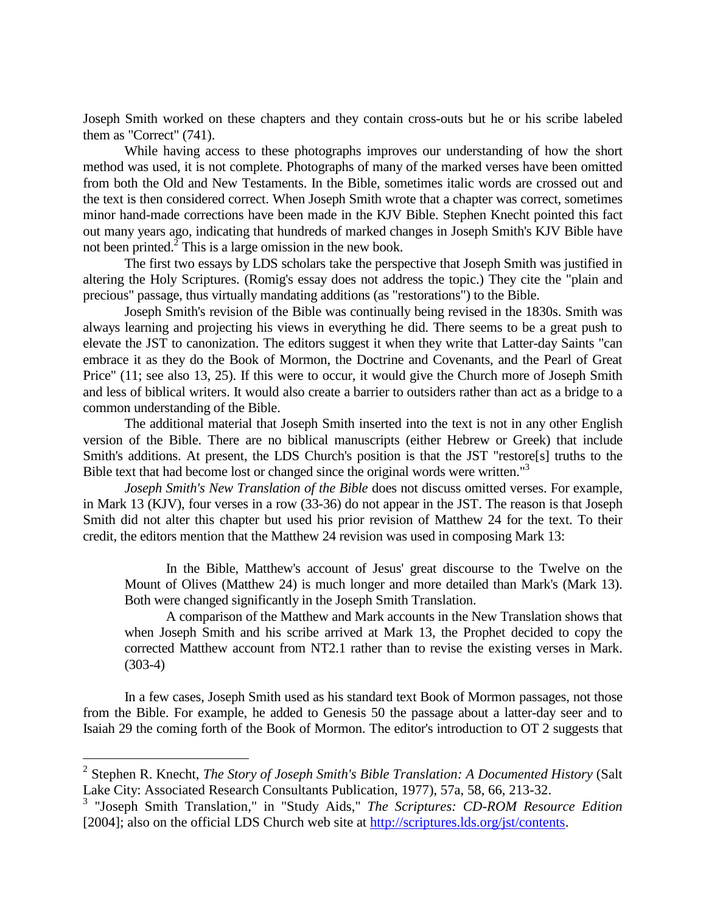Joseph Smith worked on these chapters and they contain cross-outs but he or his scribe labeled them as "Correct" (741).

While having access to these photographs improves our understanding of how the short method was used, it is not complete. Photographs of many of the marked verses have been omitted from both the Old and New Testaments. In the Bible, sometimes italic words are crossed out and the text is then considered correct. When Joseph Smith wrote that a chapter was correct, sometimes minor hand-made corrections have been made in the KJV Bible. Stephen Knecht pointed this fact out many years ago, indicating that hundreds of marked changes in Joseph Smith's KJV Bible have not been printed. $2^7$  This is a large omission in the new book.

The first two essays by LDS scholars take the perspective that Joseph Smith was justified in altering the Holy Scriptures. (Romig's essay does not address the topic.) They cite the "plain and precious" passage, thus virtually mandating additions (as "restorations") to the Bible.

Joseph Smith's revision of the Bible was continually being revised in the 1830s. Smith was always learning and projecting his views in everything he did. There seems to be a great push to elevate the JST to canonization. The editors suggest it when they write that Latter-day Saints "can embrace it as they do the Book of Mormon, the Doctrine and Covenants, and the Pearl of Great Price" (11; see also 13, 25). If this were to occur, it would give the Church more of Joseph Smith and less of biblical writers. It would also create a barrier to outsiders rather than act as a bridge to a common understanding of the Bible.

The additional material that Joseph Smith inserted into the text is not in any other English version of the Bible. There are no biblical manuscripts (either Hebrew or Greek) that include Smith's additions. At present, the LDS Church's position is that the JST "restore[s] truths to the Bible text that had become lost or changed since the original words were written."<sup>3</sup>

*Joseph Smith's New Translation of the Bible* does not discuss omitted verses. For example, in Mark 13 (KJV), four verses in a row (33-36) do not appear in the JST. The reason is that Joseph Smith did not alter this chapter but used his prior revision of Matthew 24 for the text. To their credit, the editors mention that the Matthew 24 revision was used in composing Mark 13:

In the Bible, Matthew's account of Jesus' great discourse to the Twelve on the Mount of Olives (Matthew 24) is much longer and more detailed than Mark's (Mark 13). Both were changed significantly in the Joseph Smith Translation.

A comparison of the Matthew and Mark accounts in the New Translation shows that when Joseph Smith and his scribe arrived at Mark 13, the Prophet decided to copy the corrected Matthew account from NT2.1 rather than to revise the existing verses in Mark. (303-4)

In a few cases, Joseph Smith used as his standard text Book of Mormon passages, not those from the Bible. For example, he added to Genesis 50 the passage about a latter-day seer and to Isaiah 29 the coming forth of the Book of Mormon. The editor's introduction to OT 2 suggests that

÷.

<sup>2</sup> Stephen R. Knecht, *The Story of Joseph Smith's Bible Translation: A Documented History* (Salt Lake City: Associated Research Consultants Publication, 1977), 57a, 58, 66, 213-32.

<sup>3</sup> "Joseph Smith Translation," in "Study Aids," *The Scriptures: CD-ROM Resource Edition* [2004]; also on the official LDS Church web site at [http://scriptures.lds.org/jst/contents.](http://scriptures.lds.org/jst/contents)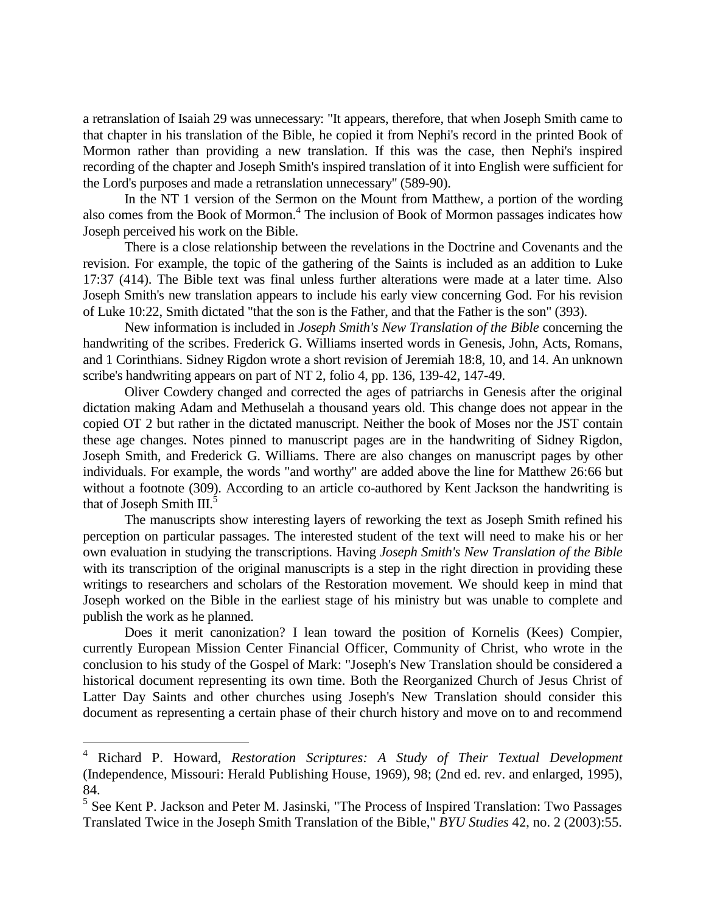a retranslation of Isaiah 29 was unnecessary: "It appears, therefore, that when Joseph Smith came to that chapter in his translation of the Bible, he copied it from Nephi's record in the printed Book of Mormon rather than providing a new translation. If this was the case, then Nephi's inspired recording of the chapter and Joseph Smith's inspired translation of it into English were sufficient for the Lord's purposes and made a retranslation unnecessary" (589-90).

In the NT 1 version of the Sermon on the Mount from Matthew, a portion of the wording also comes from the Book of Mormon.<sup>4</sup> The inclusion of Book of Mormon passages indicates how Joseph perceived his work on the Bible.

There is a close relationship between the revelations in the Doctrine and Covenants and the revision. For example, the topic of the gathering of the Saints is included as an addition to Luke 17:37 (414). The Bible text was final unless further alterations were made at a later time. Also Joseph Smith's new translation appears to include his early view concerning God. For his revision of Luke 10:22, Smith dictated "that the son is the Father, and that the Father is the son" (393).

New information is included in *Joseph Smith's New Translation of the Bible* concerning the handwriting of the scribes. Frederick G. Williams inserted words in Genesis, John, Acts, Romans, and 1 Corinthians. Sidney Rigdon wrote a short revision of Jeremiah 18:8, 10, and 14. An unknown scribe's handwriting appears on part of NT 2, folio 4, pp. 136, 139-42, 147-49.

Oliver Cowdery changed and corrected the ages of patriarchs in Genesis after the original dictation making Adam and Methuselah a thousand years old. This change does not appear in the copied OT 2 but rather in the dictated manuscript. Neither the book of Moses nor the JST contain these age changes. Notes pinned to manuscript pages are in the handwriting of Sidney Rigdon, Joseph Smith, and Frederick G. Williams. There are also changes on manuscript pages by other individuals. For example, the words "and worthy" are added above the line for Matthew 26:66 but without a footnote (309). According to an article co-authored by Kent Jackson the handwriting is that of Joseph Smith  $III.^5$ 

The manuscripts show interesting layers of reworking the text as Joseph Smith refined his perception on particular passages. The interested student of the text will need to make his or her own evaluation in studying the transcriptions. Having *Joseph Smith's New Translation of the Bible* with its transcription of the original manuscripts is a step in the right direction in providing these writings to researchers and scholars of the Restoration movement. We should keep in mind that Joseph worked on the Bible in the earliest stage of his ministry but was unable to complete and publish the work as he planned.

Does it merit canonization? I lean toward the position of Kornelis (Kees) Compier, currently European Mission Center Financial Officer, Community of Christ, who wrote in the conclusion to his study of the Gospel of Mark: "Joseph's New Translation should be considered a historical document representing its own time. Both the Reorganized Church of Jesus Christ of Latter Day Saints and other churches using Joseph's New Translation should consider this document as representing a certain phase of their church history and move on to and recommend

L,

<sup>4</sup> Richard P. Howard, *Restoration Scriptures: A Study of Their Textual Development* (Independence, Missouri: Herald Publishing House, 1969), 98; (2nd ed. rev. and enlarged, 1995), 84.

<sup>&</sup>lt;sup>5</sup> See Kent P. Jackson and Peter M. Jasinski, "The Process of Inspired Translation: Two Passages Translated Twice in the Joseph Smith Translation of the Bible," *BYU Studies* 42, no. 2 (2003):55.